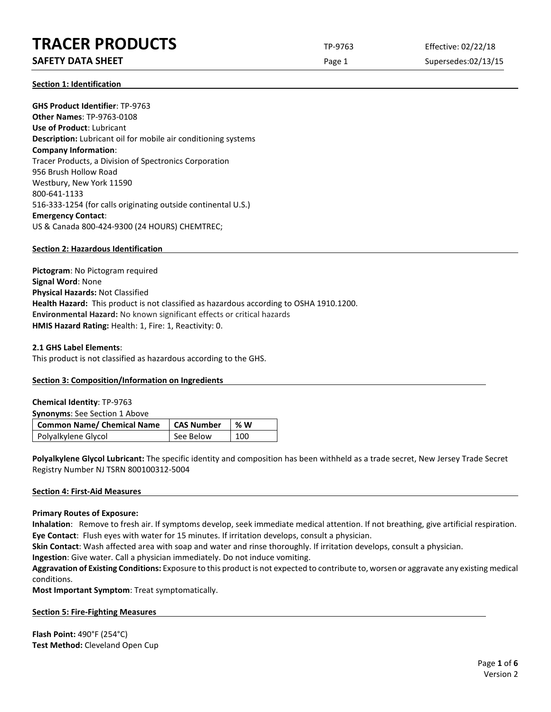# **TRACER PRODUCTS** TP-9763 Effective: 02/22/18

# **SAFETY DATA SHEET** SUPERFOUR CONSUMING THE Page 1 Supersedes:02/13/15

**Section 1: Identification**

**GHS Product Identifier**: TP-9763 **Other Names**: TP-9763-0108 **Use of Product**: Lubricant **Description:** Lubricant oil for mobile air conditioning systems **Company Information**: Tracer Products, a Division of Spectronics Corporation 956 Brush Hollow Road Westbury, New York 11590 800-641-1133 516-333-1254 (for calls originating outside continental U.S.) **Emergency Contact**: US & Canada 800-424-9300 (24 HOURS) CHEMTREC;

# **Section 2: Hazardous Identification**

**Pictogram**: No Pictogram required **Signal Word**: None **Physical Hazards:** Not Classified **Health Hazard:** This product is not classified as hazardous according to OSHA 1910.1200. **Environmental Hazard:** No known significant effects or critical hazards **HMIS Hazard Rating:** Health: 1, Fire: 1, Reactivity: 0.

# **2.1 GHS Label Elements**:

This product is not classified as hazardous according to the GHS.

# **Section 3: Composition/Information on Ingredients**

| <b>Chemical Identity: TP-9763</b>    |                   |    |
|--------------------------------------|-------------------|----|
| <b>Synonyms:</b> See Section 1 Above |                   |    |
|                                      |                   |    |
| Common Name/ Chemical Name           | <b>CAS Number</b> | %W |

**Polyalkylene Glycol Lubricant:** The specific identity and composition has been withheld as a trade secret, New Jersey Trade Secret Registry Number NJ TSRN 800100312-5004

#### **Section 4: First-Aid Measures**

#### **Primary Routes of Exposure:**

**Inhalation**: Remove to fresh air. If symptoms develop, seek immediate medical attention. If not breathing, give artificial respiration. **Eye Contact**: Flush eyes with water for 15 minutes. If irritation develops, consult a physician.

**Skin Contact**: Wash affected area with soap and water and rinse thoroughly. If irritation develops, consult a physician.

**Ingestion**: Give water. Call a physician immediately. Do not induce vomiting.

**Aggravation of Existing Conditions:** Exposure to this product is not expected to contribute to, worsen or aggravate any existing medical conditions.

**Most Important Symptom**: Treat symptomatically.

# **Section 5: Fire-Fighting Measures**

**Flash Point:** 490°F (254°C) **Test Method:** Cleveland Open Cup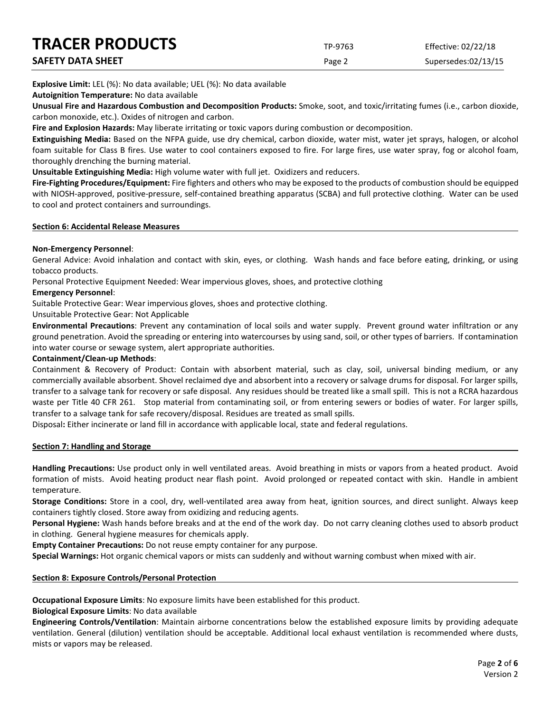| <b>TRACER PRODUCTS</b> | TP-9763 | Effective: 02/22/18 |
|------------------------|---------|---------------------|
| SAFETY DATA SHEET      | Page 2  | Supersedes:02/13/15 |

**Explosive Limit:** LEL (%): No data available; UEL (%): No data available

**Autoignition Temperature:** No data available

**Unusual Fire and Hazardous Combustion and Decomposition Products:** Smoke, soot, and toxic/irritating fumes (i.e., carbon dioxide, carbon monoxide, etc.). Oxides of nitrogen and carbon.

**Fire and Explosion Hazards:** May liberate irritating or toxic vapors during combustion or decomposition.

**Extinguishing Media:** Based on the NFPA guide, use dry chemical, carbon dioxide, water mist, water jet sprays, halogen, or alcohol foam suitable for Class B fires. Use water to cool containers exposed to fire. For large fires, use water spray, fog or alcohol foam, thoroughly drenching the burning material.

**Unsuitable Extinguishing Media:** High volume water with full jet. Oxidizers and reducers.

**Fire-Fighting Procedures/Equipment:** Fire fighters and others who may be exposed to the products of combustion should be equipped with NIOSH-approved, positive-pressure, self-contained breathing apparatus (SCBA) and full protective clothing. Water can be used to cool and protect containers and surroundings.

#### **Section 6: Accidental Release Measures**

# **Non-Emergency Personnel**:

General Advice: Avoid inhalation and contact with skin, eyes, or clothing. Wash hands and face before eating, drinking, or using tobacco products.

Personal Protective Equipment Needed: Wear impervious gloves, shoes, and protective clothing

#### **Emergency Personnel**:

Suitable Protective Gear: Wear impervious gloves, shoes and protective clothing.

Unsuitable Protective Gear: Not Applicable

**Environmental Precautions**: Prevent any contamination of local soils and water supply. Prevent ground water infiltration or any ground penetration. Avoid the spreading or entering into watercourses by using sand, soil, or other types of barriers. If contamination into water course or sewage system, alert appropriate authorities.

# **Containment/Clean-up Methods**:

Containment & Recovery of Product: Contain with absorbent material, such as clay, soil, universal binding medium, or any commercially available absorbent. Shovel reclaimed dye and absorbent into a recovery or salvage drums for disposal. For larger spills, transfer to a salvage tank for recovery or safe disposal. Any residues should be treated like a small spill. This is not a RCRA hazardous waste per Title 40 CFR 261. Stop material from contaminating soil, or from entering sewers or bodies of water. For larger spills, transfer to a salvage tank for safe recovery/disposal. Residues are treated as small spills.

Disposal**:** Either incinerate or land fill in accordance with applicable local, state and federal regulations.

# **Section 7: Handling and Storage**

**Handling Precautions:** Use product only in well ventilated areas. Avoid breathing in mists or vapors from a heated product. Avoid formation of mists. Avoid heating product near flash point. Avoid prolonged or repeated contact with skin. Handle in ambient temperature.

**Storage Conditions:** Store in a cool, dry, well-ventilated area away from heat, ignition sources, and direct sunlight. Always keep containers tightly closed. Store away from oxidizing and reducing agents.

**Personal Hygiene:** Wash hands before breaks and at the end of the work day. Do not carry cleaning clothes used to absorb product in clothing. General hygiene measures for chemicals apply.

**Empty Container Precautions:** Do not reuse empty container for any purpose.

**Special Warnings:** Hot organic chemical vapors or mists can suddenly and without warning combust when mixed with air.

# **Section 8: Exposure Controls/Personal Protection**

**Occupational Exposure Limits**: No exposure limits have been established for this product.

**Biological Exposure Limits**: No data available

**Engineering Controls/Ventilation**: Maintain airborne concentrations below the established exposure limits by providing adequate ventilation. General (dilution) ventilation should be acceptable. Additional local exhaust ventilation is recommended where dusts, mists or vapors may be released.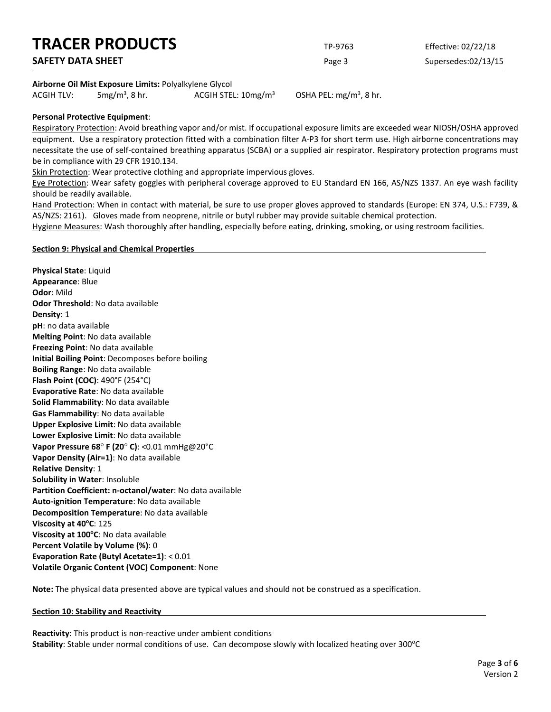| <b>TRACER PRODUCTS</b>   | TP-9763 | Effective: 02/22/18 |
|--------------------------|---------|---------------------|
| <b>SAFETY DATA SHEET</b> | Page 3  | Supersedes:02/13/15 |
|                          |         |                     |

### **Airborne Oil Mist Exposure Limits:** Polyalkylene Glycol

ACGIH TLV:  $5mg/m<sup>3</sup>$ , 8 hr. ACGIH STEL:  $10$ mg/m<sup>3</sup>

OSHA PEL:  $mg/m<sup>3</sup>$ , 8 hr.

# **Personal Protective Equipment**:

Respiratory Protection: Avoid breathing vapor and/or mist. If occupational exposure limits are exceeded wear NIOSH/OSHA approved equipment. Use a respiratory protection fitted with a combination filter A-P3 for short term use. High airborne concentrations may necessitate the use of self-contained breathing apparatus (SCBA) or a supplied air respirator. Respiratory protection programs must be in compliance with 29 CFR 1910.134.

Skin Protection: Wear protective clothing and appropriate impervious gloves.

Eye Protection: Wear safety goggles with peripheral coverage approved to EU Standard EN 166, AS/NZS 1337. An eye wash facility should be readily available.

Hand Protection: When in contact with material, be sure to use proper gloves approved to standards (Europe: EN 374, U.S.: F739, & AS/NZS: 2161). Gloves made from neoprene, nitrile or butyl rubber may provide suitable chemical protection.

Hygiene Measures: Wash thoroughly after handling, especially before eating, drinking, smoking, or using restroom facilities.

#### **Section 9: Physical and Chemical Properties**

**Physical State**: Liquid **Appearance**: Blue **Odor**: Mild **Odor Threshold**: No data available **Density**: 1 **pH**: no data available **Melting Point**: No data available **Freezing Point**: No data available **Initial Boiling Point**: Decomposes before boiling **Boiling Range**: No data available **Flash Point (COC)**: 490°F (254°C) **Evaporative Rate**: No data available **Solid Flammability**: No data available **Gas Flammability**: No data available **Upper Explosive Limit**: No data available **Lower Explosive Limit**: No data available **Vapor Pressure 68**° **F (20**° **C)**: <0.01 mmHg@20°C **Vapor Density (Air=1)**: No data available **Relative Density**: 1 **Solubility in Water**: Insoluble **Partition Coefficient: n-octanol/water**: No data available **Auto-ignition Temperature**: No data available **Decomposition Temperature**: No data available **Viscosity at 40<sup>o</sup>C**: 125 **Viscosity at 100°C**: No data available **Percent Volatile by Volume (%)**: 0 **Evaporation Rate (Butyl Acetate=1)**: < 0.01 **Volatile Organic Content (VOC) Component**: None

**Note:** The physical data presented above are typical values and should not be construed as a specification.

#### **Section 10: Stability and Reactivity**

**Reactivity**: This product is non-reactive under ambient conditions Stability: Stable under normal conditions of use. Can decompose slowly with localized heating over 300°C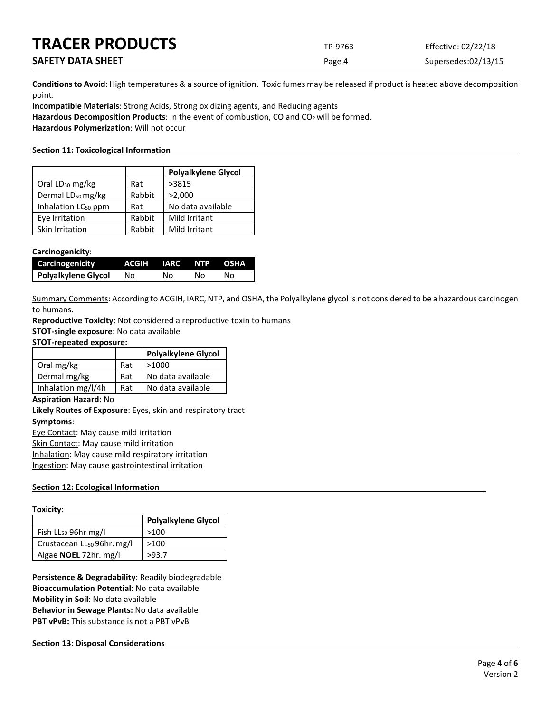| <b>TRACER PRODUCTS</b>   | TP-9763 | Effective: 02/22/18 |
|--------------------------|---------|---------------------|
| <b>SAFETY DATA SHEET</b> | Page 4  | Supersedes:02/13/15 |

**Conditions to Avoid**: High temperatures & a source of ignition. Toxic fumes may be released if product is heated above decomposition point.

**Incompatible Materials**: Strong Acids, Strong oxidizing agents, and Reducing agents Hazardous Decomposition Products: In the event of combustion, CO and CO<sub>2</sub> will be formed. **Hazardous Polymerization**: Will not occur

# **Section 11: Toxicological Information**

|                                 |        | <b>Polyalkylene Glycol</b> |
|---------------------------------|--------|----------------------------|
| Oral LD <sub>50</sub> mg/kg     | Rat    | >3815                      |
| Dermal LD <sub>50</sub> mg/kg   | Rabbit | >2,000                     |
| Inhalation LC <sub>50</sub> ppm | Rat    | No data available          |
| Eye Irritation                  | Rabbit | Mild Irritant              |
| Skin Irritation                 | Rabbit | Mild Irritant              |

### **Carcinogenicity**:

| <b>Carcinogenicity</b> | ACGIH IARC NTP OSHA |    |    |    |
|------------------------|---------------------|----|----|----|
| Polyalkylene Glycol    | No.                 | Nο | NΩ | N٥ |

Summary Comments: According to ACGIH, IARC, NTP, and OSHA, the Polyalkylene glycol is not considered to be a hazardous carcinogen to humans.

**Reproductive Toxicity**: Not considered a reproductive toxin to humans

**STOT-single exposure**: No data available

#### **STOT-repeated exposure:**

|                    |     | <b>Polyalkylene Glycol</b> |
|--------------------|-----|----------------------------|
| Oral mg/kg         | Rat | >1000                      |
| Dermal mg/kg       | Rat | No data available          |
| Inhalation mg/l/4h | Rat | No data available          |

#### **Aspiration Hazard:** No

**Likely Routes of Exposure**: Eyes, skin and respiratory tract **Symptoms**:

Eye Contact: May cause mild irritation

Skin Contact: May cause mild irritation

Inhalation: May cause mild respiratory irritation

Ingestion: May cause gastrointestinal irritation

# **Section 12: Ecological Information**

# **Toxicity**:

|                                        | <b>Polyalkylene Glycol</b> |
|----------------------------------------|----------------------------|
| Fish LL <sub>50</sub> 96hr mg/l        | >100                       |
| Crustacean LL <sub>50</sub> 96hr. mg/l | >100                       |
| Algae <b>NOEL</b> 72hr. mg/l           | >93.7                      |

**Persistence & Degradability**: Readily biodegradable **Bioaccumulation Potential**: No data available **Mobility in Soil**: No data available **Behavior in Sewage Plants:** No data available **PBT vPvB:** This substance is not a PBT vPvB

# **Section 13: Disposal Considerations**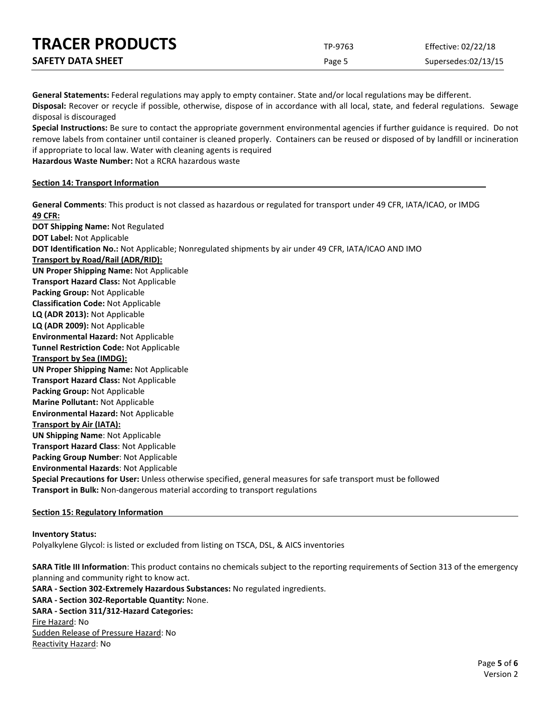| <b>TRACER PRODUCTS</b>   | TP-9763 | Effective: 02/22/18 |
|--------------------------|---------|---------------------|
| <b>SAFETY DATA SHEET</b> | Page 5  | Supersedes:02/13/15 |

**General Statements:** Federal regulations may apply to empty container. State and/or local regulations may be different.

**Disposal:** Recover or recycle if possible, otherwise, dispose of in accordance with all local, state, and federal regulations. Sewage disposal is discouraged

**Special Instructions:** Be sure to contact the appropriate government environmental agencies if further guidance is required. Do not remove labels from container until container is cleaned properly. Containers can be reused or disposed of by landfill or incineration if appropriate to local law. Water with cleaning agents is required

**Hazardous Waste Number:** Not a RCRA hazardous waste

# **Section 14: Transport Information**

**General Comments**: This product is not classed as hazardous or regulated for transport under 49 CFR, IATA/ICAO, or IMDG **49 CFR: DOT Shipping Name:** Not Regulated **DOT Label:** Not Applicable **DOT Identification No.:** Not Applicable; Nonregulated shipments by air under 49 CFR, IATA/ICAO AND IMO **Transport by Road/Rail (ADR/RID): UN Proper Shipping Name:** Not Applicable **Transport Hazard Class:** Not Applicable **Packing Group:** Not Applicable **Classification Code:** Not Applicable **LQ (ADR 2013):** Not Applicable **LQ (ADR 2009):** Not Applicable **Environmental Hazard:** Not Applicable **Tunnel Restriction Code:** Not Applicable **Transport by Sea (IMDG): UN Proper Shipping Name:** Not Applicable **Transport Hazard Class:** Not Applicable **Packing Group:** Not Applicable **Marine Pollutant:** Not Applicable **Environmental Hazard:** Not Applicable **Transport by Air (IATA): UN Shipping Name**: Not Applicable **Transport Hazard Class**: Not Applicable **Packing Group Number**: Not Applicable **Environmental Hazards**: Not Applicable **Special Precautions for User:** Unless otherwise specified, general measures for safe transport must be followed **Transport in Bulk:** Non-dangerous material according to transport regulations

# **Section 15: Regulatory Information**

#### **Inventory Status:**

Polyalkylene Glycol: is listed or excluded from listing on TSCA, DSL, & AICS inventories

**SARA Title III Information**: This product contains no chemicals subject to the reporting requirements of Section 313 of the emergency planning and community right to know act. **SARA - Section 302-Extremely Hazardous Substances:** No regulated ingredients. **SARA - Section 302-Reportable Quantity:** None. **SARA - Section 311/312-Hazard Categories:** Fire Hazard: No Sudden Release of Pressure Hazard: No Reactivity Hazard: No